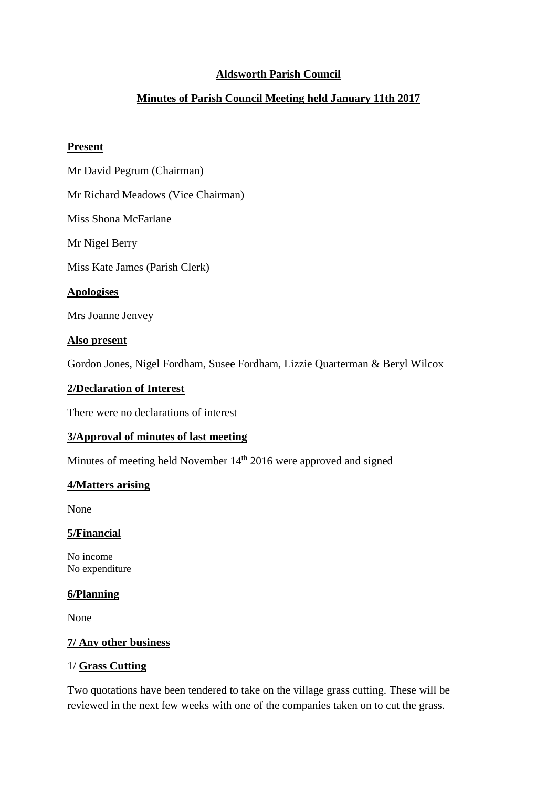# **Aldsworth Parish Council**

# **Minutes of Parish Council Meeting held January 11th 2017**

### **Present**

Mr David Pegrum (Chairman)

Mr Richard Meadows (Vice Chairman)

Miss Shona McFarlane

Mr Nigel Berry

Miss Kate James (Parish Clerk)

## **Apologises**

Mrs Joanne Jenvey

#### **Also present**

Gordon Jones, Nigel Fordham, Susee Fordham, Lizzie Quarterman & Beryl Wilcox

## **2/Declaration of Interest**

There were no declarations of interest

### **3/Approval of minutes of last meeting**

Minutes of meeting held November 14<sup>th</sup> 2016 were approved and signed

#### **4/Matters arising**

None

#### **5/Financial**

No income No expenditure

#### **6/Planning**

None

## **7/ Any other business**

## 1/ **Grass Cutting**

Two quotations have been tendered to take on the village grass cutting. These will be reviewed in the next few weeks with one of the companies taken on to cut the grass.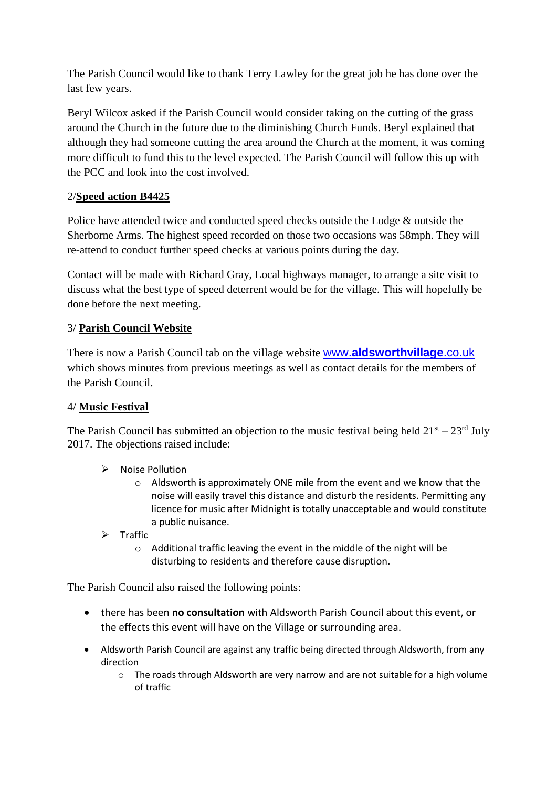The Parish Council would like to thank Terry Lawley for the great job he has done over the last few years.

Beryl Wilcox asked if the Parish Council would consider taking on the cutting of the grass around the Church in the future due to the diminishing Church Funds. Beryl explained that although they had someone cutting the area around the Church at the moment, it was coming more difficult to fund this to the level expected. The Parish Council will follow this up with the PCC and look into the cost involved.

# 2/**Speed action B4425**

Police have attended twice and conducted speed checks outside the Lodge & outside the Sherborne Arms. The highest speed recorded on those two occasions was 58mph. They will re-attend to conduct further speed checks at various points during the day.

Contact will be made with Richard Gray, Local highways manager, to arrange a site visit to discuss what the best type of speed deterrent would be for the village. This will hopefully be done before the next meeting.

# 3/ **Parish Council Website**

There is now a Parish Council tab on the village website www.**[aldsworthvillage](http://www.aldsworthvillage.co.uk/)**.co.uk which shows minutes from previous meetings as well as contact details for the members of the Parish Council.

# 4/ **Music Festival**

The Parish Council has submitted an objection to the music festival being held  $21<sup>st</sup> - 23<sup>rd</sup>$  July 2017. The objections raised include:

- $\triangleright$  Noise Pollution
	- $\circ$  Aldsworth is approximately ONE mile from the event and we know that the noise will easily travel this distance and disturb the residents. Permitting any licence for music after Midnight is totally unacceptable and would constitute a public nuisance.
- $\triangleright$  Traffic
	- o Additional traffic leaving the event in the middle of the night will be disturbing to residents and therefore cause disruption.

The Parish Council also raised the following points:

- there has been **no consultation** with Aldsworth Parish Council about this event, or the effects this event will have on the Village or surrounding area.
- Aldsworth Parish Council are against any traffic being directed through Aldsworth, from any direction
	- o The roads through Aldsworth are very narrow and are not suitable for a high volume of traffic